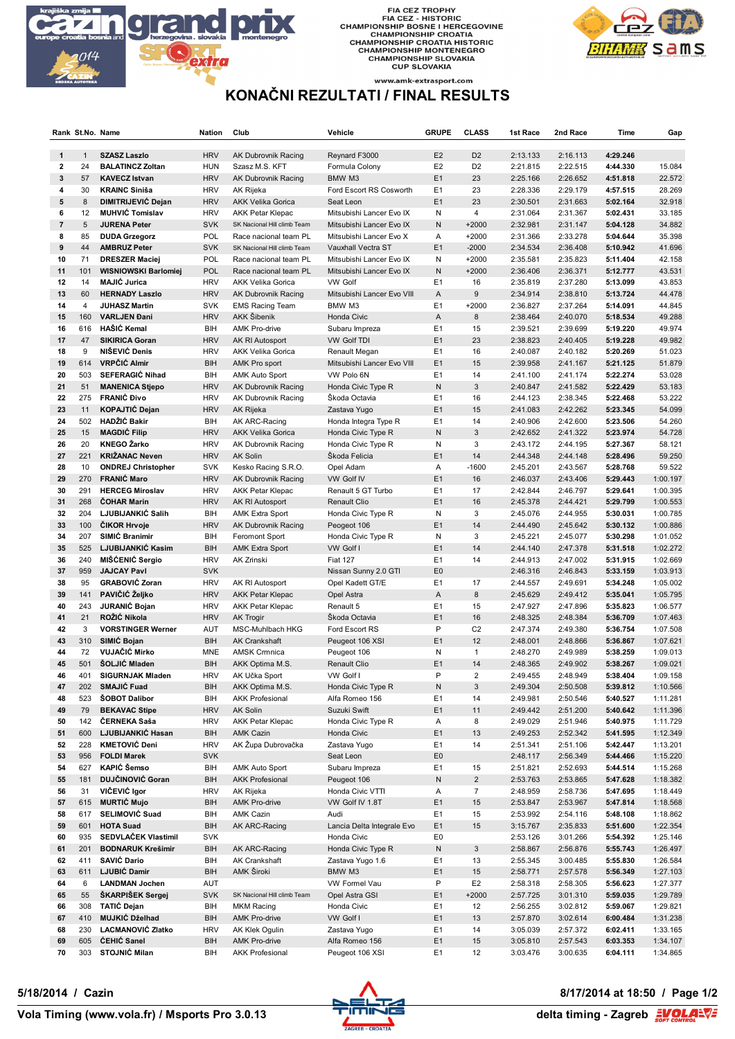

FIA CEZ TROPHY<br>FIA CEZ - HISTORIC<br>CHAMPIONSHIP BOSNE I HERCEGOVINE<br>CHAMPIONSHIP CROATIA<br>CHAMPIONSHIP CROATIA HISTORIC<br>CHAMPIONSHIP SLOVAKIA<br>CHAMPIONSHIP SLOVAKIA<br>CUP SLOVAKIA



#### www.amk-extrasport.com **KONAČNI REZULTATI / FINAL RESULTS**

|                  | Rank St.No. Name |                                       | Nation                   | Club                                | Vehicle                                  | <b>GRUPE</b>                     | <b>CLASS</b>                              | 1st Race             | 2nd Race             | Time                 | Gap                  |
|------------------|------------------|---------------------------------------|--------------------------|-------------------------------------|------------------------------------------|----------------------------------|-------------------------------------------|----------------------|----------------------|----------------------|----------------------|
| $\mathbf{1}$     | $\mathbf{1}$     | <b>SZASZ Laszlo</b>                   | <b>HRV</b>               | AK Dubrovnik Racing                 | Reynard F3000                            | E <sub>2</sub>                   | D <sub>2</sub>                            | 2:13.133             | 2:16.113             | 4:29.246             |                      |
| $\mathbf{2}$     | 24               | <b>BALATINCZ Zoltan</b>               | <b>HUN</b>               | Szasz M.S. KFT                      | Formula Colony                           | E <sub>2</sub>                   | D <sub>2</sub>                            | 2:21.815             | 2:22.515             | 4:44.330             | 15.084               |
| 3                | 57               | <b>KAVECZ Istvan</b>                  | <b>HRV</b>               | AK Dubrovnik Racing                 | BMW M3                                   | E1                               | 23                                        | 2:25.166             | 2:26.652             | 4:51.818             | 22.572               |
| 4                | 30               | <b>KRAINC Siniša</b>                  | <b>HRV</b>               | AK Rijeka                           | Ford Escort RS Cosworth                  | E1                               | 23                                        | 2:28.336             | 2:29.179             | 4:57.515             | 28.269               |
| ${\bf 5}$        | 8                | DIMITRIJEVIĆ Dejan                    | <b>HRV</b>               | <b>AKK Velika Gorica</b>            | Seat Leon                                | E1                               | 23                                        | 2:30.501             | 2:31.663             | 5:02.164             | 32.918               |
| 6                | 12               | <b>MUHVIC Tomislav</b>                | <b>HRV</b>               | <b>AKK Petar Klepac</b>             | Mitsubishi Lancer Evo IX                 | Ν                                | 4                                         | 2:31.064             | 2:31.367             | 5:02.431             | 33.185               |
| $\overline{7}$   | 5                | <b>JURENA Peter</b>                   | <b>SVK</b>               | SK Nacional Hill climb Team         | Mitsubishi Lancer Evo IX                 | N                                | $+2000$                                   | 2:32.981             | 2:31.147             | 5:04.128             | 34.882               |
| 8                | 85               | <b>DUDA Grzegorz</b>                  | POL                      | Race nacional team PL               | Mitsubishi Lancer Evo X                  | Α                                | $+2000$                                   | 2:31.366             | 2:33.278             | 5:04.644             | 35.398               |
| $\boldsymbol{9}$ | 44               | <b>AMBRUZ Peter</b>                   | <b>SVK</b>               | SK Nacional Hill climb Team         | Vauxhall Vectra ST                       | E1                               | $-2000$                                   | 2:34.534             | 2:36.408             | 5:10.942             | 41.696               |
| 10               | 71               | <b>DRESZER Maciej</b>                 | <b>POL</b>               | Race nacional team PL               | Mitsubishi Lancer Evo IX                 | N                                | $+2000$                                   | 2:35.581             | 2:35.823             | 5:11.404             | 42.158               |
| 11               | 101              | <b>WISNIOWSKI Barlomiej</b>           | POL                      | Race nacional team PL               | Mitsubishi Lancer Evo IX                 | N                                | $+2000$                                   | 2:36.406             | 2:36.371             | 5:12.777             | 43.531               |
| 12               | 14               | <b>MAJIĆ Jurica</b>                   | <b>HRV</b>               | <b>AKK Velika Gorica</b>            | <b>VW Golf</b>                           | E1                               | 16                                        | 2:35.819             | 2:37.280             | 5:13.099             | 43.853               |
| 13               | 60               | <b>HERNADY Laszlo</b>                 | <b>HRV</b>               | AK Dubrovnik Racing                 | Mitsubishi Lancer Evo VIII               | A                                | 9                                         | 2:34.914             | 2:38.810             | 5:13.724             | 44.478               |
| 14               | 4                | <b>JUHASZ Martin</b>                  | <b>SVK</b>               | <b>EMS Racing Team</b>              | BMW M3                                   | E1                               | $+2000$                                   | 2:36.827             | 2:37.264             | 5:14.091             | 44.845               |
| 15<br>16         | 160<br>616       | <b>VARLJEN Đani</b><br>HAŠIĆ Kemal    | <b>HRV</b><br>BIH        | AKK Šibenik<br><b>AMK Pro-drive</b> | Honda Civic                              | A<br>E1                          | 8<br>15                                   | 2:38.464<br>2:39.521 | 2:40.070<br>2:39.699 | 5:18.534<br>5:19.220 | 49.288<br>49.974     |
| 17               | 47               | <b>SIKIRICA Goran</b>                 | <b>HRV</b>               | AK RI Autosport                     | Subaru Impreza<br><b>VW Golf TDI</b>     | E1                               | 23                                        | 2:38.823             | 2:40.405             | 5:19.228             | 49.982               |
| 18               | 9                | NIŠEVIĆ Denis                         | <b>HRV</b>               | <b>AKK Velika Gorica</b>            | Renault Megan                            | E1                               | 16                                        | 2:40.087             | 2:40.182             | 5:20.269             | 51.023               |
| 19               | 614              | VRPČIĆ Almir                          | <b>BIH</b>               | AMK Pro sport                       | Mitsubishi Lancer Evo VIII               | E1                               | 15                                        | 2:39.958             | 2:41.167             | 5:21.125             | 51.879               |
| 20               | 503              | <b>SEFERAGIĆ Nihad</b>                | BIH                      | <b>AMK Auto Sport</b>               | VW Polo 6N                               | E1                               | 14                                        | 2:41.100             | 2:41.174             | 5:22.274             | 53.028               |
| 21               | 51               | <b>MANENICA Stjepo</b>                | <b>HRV</b>               | AK Dubrovnik Racing                 | Honda Civic Type R                       | N                                | 3                                         | 2:40.847             | 2:41.582             | 5:22.429             | 53.183               |
| 22               | 275              | <b>FRANIĆ Đivo</b>                    | <b>HRV</b>               | AK Dubrovnik Racing                 | Škoda Octavia                            | E1                               | 16                                        | 2:44.123             | 2:38.345             | 5:22.468             | 53.222               |
| 23               | 11               | <b>KOPAJTIĆ Dejan</b>                 | <b>HRV</b>               | <b>AK Rijeka</b>                    | Zastava Yugo                             | E1                               | 15                                        | 2:41.083             | 2:42.262             | 5:23.345             | 54.099               |
| 24               | 502              | HADŽIĆ Bakir                          | BIH                      | AK ARC-Racing                       | Honda Integra Type R                     | E1                               | 14                                        | 2:40.906             | 2:42.600             | 5:23.506             | 54.260               |
| 25               | 15               | <b>MAGDIC Filip</b>                   | <b>HRV</b>               | <b>AKK Velika Gorica</b>            | Honda Civic Type R                       | N                                | 3                                         | 2:42.652             | 2:41.322             | 5:23.974             | 54.728               |
| 26               | 20               | <b>KNEGO Žarko</b>                    | <b>HRV</b>               | AK Dubrovnik Racing                 | Honda Civic Type R                       | Ν                                | 3                                         | 2:43.172             | 2:44.195             | 5:27.367             | 58.121               |
| 27               | 221              | <b>KRIŽANAC Neven</b>                 | <b>HRV</b>               | <b>AK Solin</b>                     | Skoda Felicia                            | E1                               | 14                                        | 2:44.348             | 2:44.148             | 5:28.496             | 59.250               |
| 28               | 10               | <b>ONDREJ Christopher</b>             | <b>SVK</b>               | Kesko Racing S.R.O.                 | Opel Adam                                | Α                                | $-1600$                                   | 2:45.201             | 2:43.567             | 5:28.768             | 59.522               |
| 29               | 270              | <b>FRANIC Maro</b>                    | <b>HRV</b>               | AK Dubrovnik Racing                 | VW Golf IV                               | E1                               | 16                                        | 2:46.037             | 2:43.406             | 5:29.443             | 1:00.197             |
| 30               | 291              | <b>HERCEG Miroslav</b>                | <b>HRV</b>               | <b>AKK Petar Klepac</b>             | Renault 5 GT Turbo                       | E1                               | 17                                        | 2:42.844             | 2:46.797             | 5:29.641             | 1:00.395             |
| 31               | 268              | <b>COHAR Marin</b>                    | <b>HRV</b>               | AK RI Autosport                     | <b>Renault Clio</b>                      | E1                               | 16                                        | 2:45.378             | 2:44.421             | 5:29.799             | 1:00.553             |
| 32               | 204              | LJUBIJANKIĆ Salih                     | BIH                      | <b>AMK Extra Sport</b>              | Honda Civic Type R                       | Ν                                | 3                                         | 2:45.076             | 2:44.955             | 5:30.031             | 1:00.785             |
| 33               | 100              | <b>CIKOR Hrvoje</b>                   | <b>HRV</b>               | AK Dubrovnik Racing                 | Peogeot 106                              | E1                               | 14                                        | 2:44.490             | 2:45.642             | 5:30.132             | 1:00.886             |
| 34               | 207              | SIMIĆ Branimir                        | BIH                      | Feromont Sport                      | Honda Civic Type R                       | Ν                                | 3                                         | 2:45.221             | 2:45.077             | 5:30.298             | 1:01.052             |
| 35               | 525              | LJUBIJANKIĆ Kasim                     | <b>BIH</b>               | <b>AMK Extra Sport</b>              | VW Golf I                                | E1                               | 14                                        | 2:44.140             | 2:47.378             | 5:31.518             | 1:02.272             |
| 36<br>37         | 240<br>959       | MIŠĆENIĆ Sergio<br><b>JAJCAY Pavl</b> | <b>HRV</b>               | AK Zrinski                          | <b>Fiat 127</b>                          | E <sub>1</sub><br>E <sub>0</sub> | 14                                        | 2:44.913             | 2:47.002             | 5:31.915             | 1:02.669             |
| 38               | 95               | <b>GRABOVIĆ Zoran</b>                 | <b>SVK</b><br><b>HRV</b> | AK RI Autosport                     | Nissan Sunny 2.0 GTI<br>Opel Kadett GT/E | E1                               | 17                                        | 2:46.316<br>2:44.557 | 2:46.843<br>2:49.691 | 5:33.159<br>5:34.248 | 1:03.913<br>1:05.002 |
| 39               | 141              | PAVIČIĆ Željko                        | <b>HRV</b>               | <b>AKK Petar Klepac</b>             | Opel Astra                               | Α                                | 8                                         | 2:45.629             | 2:49.412             | 5:35.041             | 1:05.795             |
| 40               | 243              | JURANIĆ Bojan                         | <b>HRV</b>               | <b>AKK Petar Klepac</b>             | Renault 5                                | E <sub>1</sub>                   | 15                                        | 2:47.927             | 2:47.896             | 5:35.823             | 1:06.577             |
| 41               | 21               | ROŽIĆ Nikola                          | <b>HRV</b>               | <b>AK Trogir</b>                    | Škoda Octavia                            | E1                               | 16                                        | 2:48.325             | 2:48.384             | 5:36.709             | 1:07.463             |
| 42               | 3                | <b>VORSTINGER Werner</b>              | AUT                      | MSC-Muhlbach HKG                    | Ford Escort RS                           | P                                | C <sub>2</sub>                            | 2:47.374             | 2:49.380             | 5:36.754             | 1:07.508             |
| 43               | 310              | SIMIĆ Bojan                           | <b>BIH</b>               | <b>AK Crankshaft</b>                | Peugeot 106 XSI                          | E1                               | 12                                        | 2:48.001             | 2:48.866             | 5:36.867             | 1:07.621             |
| 44               | 72               | <b>VUJAČIĆ Mirko</b>                  | <b>MNE</b>               | <b>AMSK Crmnica</b>                 | Peugeot 106                              | Ν                                | $\mathbf{1}$                              | 2:48.270             | 2:49.989             | 5:38.259             | 1:09.013             |
| 45               | 501              | ŠOLJIĆ Mladen                         | <b>BIH</b>               | AKK Optima M.S.                     | <b>Renault Clio</b>                      | E1                               | 14                                        | 2:48.365             | 2:49.902             | 5:38.267             | 1:09.021             |
| 46               | 401              | <b>SIGURNJAK Mladen</b>               | <b>HRV</b>               | AK Učka Sport                       | VW Golf I                                | P                                | $\overline{2}$                            | 2:49.455             | 2:48.949             | 5:38.404             | 1:09.158             |
| 47               | 202              | SMAJIĆ Fuad                           | BIH                      | AKK Optima M.S.                     | Honda Civic Type R                       | Ν                                | $\mathbf{3}$                              | 2:49.304             | 2:50.508             | 5:39.812             | 1:10.566             |
| 48               | 523              | <b>SOBOT Dalibor</b>                  | BIH                      | <b>AKK Profesional</b>              | Alfa Romeo 156                           | E <sub>1</sub>                   | 14                                        | 2:49.981             | 2:50.546             | 5:40.527             | 1:11.281             |
| 49               | 79               | <b>BEKAVAC Stipe</b>                  | <b>HRV</b>               | AK Solin                            | Suzuki Swift                             | E <sub>1</sub>                   | 11                                        | 2:49.442             | 2:51.200             | 5:40.642             | 1:11.396             |
| 50               | 142              | ČERNEKA Saša                          | <b>HRV</b>               | <b>AKK Petar Klepac</b>             | Honda Civic Type R                       | Α                                | 8                                         | 2:49.029             | 2:51.946             | 5:40.975             | 1:11.729             |
| 51               | 600              | LJUBIJANKIĆ Hasan                     | BIH                      | <b>AMK Cazin</b>                    | Honda Civic                              | E1                               | 13                                        | 2:49.253             | 2:52.342             | 5:41.595             | 1:12.349             |
| 52               | 228              | <b>KMETOVIĆ Deni</b>                  | <b>HRV</b>               | AK Župa Dubrovačka                  | Zastava Yugo                             | E1                               | 14                                        | 2:51.341             | 2:51.106             | 5:42.447             | 1:13.201             |
| 53               | 956              | <b>FOLDI Marek</b>                    | <b>SVK</b>               |                                     | Seat Leon                                | E <sub>0</sub>                   |                                           | 2:48.117             | 2:56.349             | 5:44.466             | 1:15.220             |
| 54               | 627              | KAPIĆ Šemso<br>DUJČINOVIĆ Goran       | BIH                      | AMK Auto Sport                      | Subaru Impreza                           | E1                               | 15                                        | 2:51.821             | 2:52.693             | 5:44.514             | 1:15.268             |
| 55<br>56         | 181<br>31        | VIČEVIĆ Igor                          | BIH                      | <b>AKK Profesional</b>              | Peugeot 106<br>Honda Civic VTTI          | Ν                                | $\overline{\mathbf{c}}$<br>$\overline{7}$ | 2:53.763<br>2:48.959 | 2:53.865             | 5:47.628             | 1:18.382             |
| 57               | 615              | <b>MURTIĆ Mujo</b>                    | <b>HRV</b><br><b>BIH</b> | AK Rijeka<br>AMK Pro-drive          | VW Golf IV 1.8T                          | Α<br>E <sub>1</sub>              | 15                                        | 2:53.847             | 2:58.736<br>2:53.967 | 5:47.695<br>5:47.814 | 1:18.449<br>1:18.568 |
| 58               | 617              | <b>SELIMOVIĆ Suad</b>                 | BIH                      | AMK Cazin                           | Audi                                     | E1                               | 15                                        | 2:53.992             | 2:54.116             | 5:48.108             | 1:18.862             |
| 59               | 601              | <b>HOTA Suad</b>                      | BIH                      | AK ARC-Racing                       | Lancia Delta Integrale Evo               | E1                               | 15                                        | 3:15.767             | 2:35.833             | 5:51.600             | 1:22.354             |
| 60               | 935              | <b>SEDVLAČEK Vlastimil</b>            | <b>SVK</b>               |                                     | Honda Civic                              | E0                               |                                           | 2:53.126             | 3:01.266             | 5:54.392             | 1:25.146             |
| 61               | 201              | <b>BODNARUK Krešimir</b>              | <b>BIH</b>               | AK ARC-Racing                       | Honda Civic Type R                       | Ν                                | 3                                         | 2:58.867             | 2:56.876             | 5:55.743             | 1:26.497             |
| 62               | 411              | SAVIĆ Dario                           | BIH                      | AK Crankshaft                       | Zastava Yugo 1.6                         | E1                               | 13                                        | 2:55.345             | 3:00.485             | 5:55.830             | 1:26.584             |
| 63               | 611              | LJUBIĆ Damir                          | BIH                      | AMK Široki                          | BMW M3                                   | E <sub>1</sub>                   | 15                                        | 2:58.771             | 2:57.578             | 5:56.349             | 1:27.103             |
| 64               | 6                | <b>LANDMAN Jochen</b>                 | AUT                      |                                     | VW Formel Vau                            | P                                | E <sub>2</sub>                            | 2:58.318             | 2:58.305             | 5:56.623             | 1:27.377             |
| 65               | 55               | <b>ŠKARPIŠEK Sergej</b>               | <b>SVK</b>               | SK Nacional Hill climb Team         | Opel Astra GSI                           | E <sub>1</sub>                   | $+2000$                                   | 2:57.725             | 3:01.310             | 5:59.035             | 1:29.789             |
| 66               | 308              | TATIĆ Dejan                           | BIH                      | MKM Racing                          | Honda Civic                              | E1                               | 12                                        | 2:56.255             | 3:02.812             | 5:59.067             | 1:29.821             |
| 67               | 410              | MUJKIĆ Dželhad                        | BIH                      | AMK Pro-drive                       | VW Golf I                                | E1                               | 13                                        | 2:57.870             | 3:02.614             | 6:00.484             | 1:31.238             |
| 68               | 230              | LACMANOVIĆ Zlatko                     | <b>HRV</b>               | AK Klek Ogulin                      | Zastava Yugo                             | E1                               | 14                                        | 3:05.039             | 2:57.372             | 6:02.411             | 1:33.165             |
| 69               | 605              | <b>ĆEHIĆ Sanel</b>                    | BIH                      | AMK Pro-drive                       | Alfa Romeo 156                           | E <sub>1</sub>                   | 15                                        | 3:05.810             | 2:57.543             | 6:03.353             | 1:34.107             |
| 70               |                  | 303 STOJNIĆ Milan                     | BIH                      | <b>AKK Profesional</b>              | Peugeot 106 XSI                          | E1                               | 12                                        | 3:03.476             | 3:00.635             | 6:04.111             | 1:34.865             |



# **5/18/2014 / Cazin 8/17/2014 at 18:50 / Page 1/2**